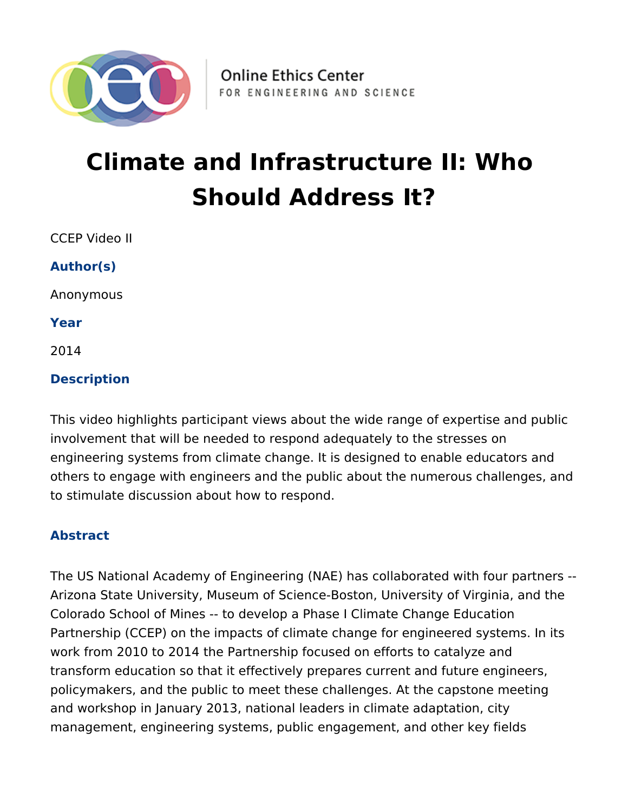

# **Climate and Infrastructure II: Who Should Address It?**

CCEP Video II

**Author(s)**

Anonymous

**Year**

2014

## **Description**

This video highlights participant views about the wide range of expertise and public involvement that will be needed to respond adequately to the stresses on engineering systems from climate change. It is designed to enable educators and others to engage with engineers and the public about the numerous challenges, and to stimulate discussion about how to respond.

### **Abstract**

The US National Academy of Engineering (NAE) has collaborated with four partners -- Arizona State University, Museum of Science-Boston, University of Virginia, and the Colorado School of Mines -- to develop a Phase I Climate Change Education Partnership (CCEP) on the impacts of climate change for engineered systems. In its work from 2010 to 2014 the Partnership focused on efforts to catalyze and transform education so that it effectively prepares current and future engineers, policymakers, and the public to meet these challenges. At the capstone meeting and workshop in January 2013, national leaders in climate adaptation, city management, engineering systems, public engagement, and other key fields